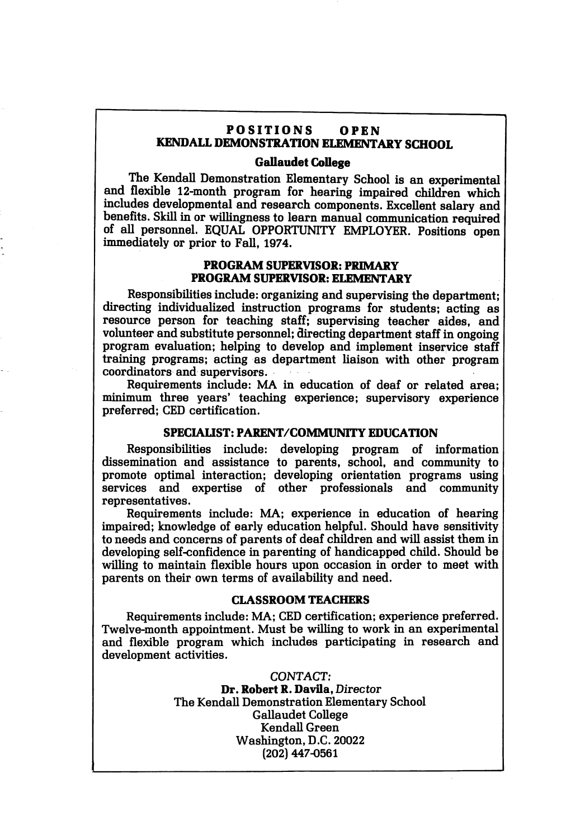# POSITIONS OPEN KENDALL DEMONSTRATION ELEMENTARY SCHOOL

### Gallaudet CoUege

The Kendall Demonstration Elementary School is an experimental and flexible 12-month program for hearing impaired children which includes developmental and research components. Excellent salary and benefits. Skill in or willingness to learn manual communication required of all personnel. EQUAL OPPORTUNITY EMPLOYER. Positions open immediately or prior to Fall, 1974.

### PROGRAM SUPERVISOR: PRIMARY PROGRAM SUPERVISOR: ELEMENTARY

Responsibilities include: organizing and supervising the department; directing individualized instruction programs for students; acting as resource person for teaching staff; supervising teacher aides, and volunteer and substitute personnel; directing department staff in ongoing program evaluation; helping to develop and implement inservice staff training programs; acting as department liaison with other program coordinators and supervisors.

Requirements include: MA in education of deaf or related area; minimum three years' teaching experience; supervisory experience preferred; CED certification.

# SPECIAUST: PARENT/COMMUNITY EDUCATION

Responsibilities include: developing program of information dissemination and assistance to parents, school, and community to promote optimal interaction; developing orientation programs using services and expertise of other professionals and community representatives.

Requirements include: MA; experience in education of hearing impaired; knowledge of early education helpful. Should have sensitivity to needs and concerns of parents of deaf children and will assist them in developing self-confidence in parenting of handicapped child. Should be willing to maintain flexible hours upon occasion in order to meet with parents on their own terms of availability and need.

#### CLASSROOM TEACHERS

Requirements include: MA; CED certification; experience preferred. Twelve-month appointment. Must be willing to work in an experimental and flexible program which includes participating in research and development activities.

> CONTACT; Dr. Robert R. Davila, Director The Kendall Demonstration Elementary School Gallaudet College KendaU Green Washington, D.C. 20022 (202) 447-0561